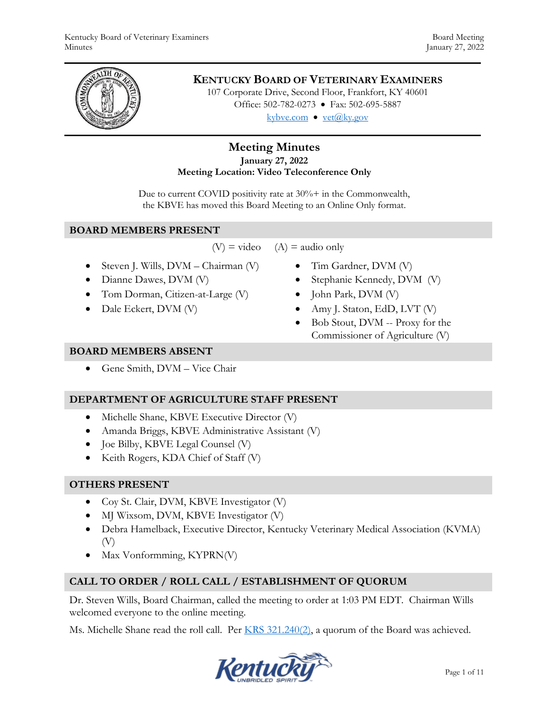

# **KENTUCKY BOARD OF VETERINARY EXAMINERS**

107 Corporate Drive, Second Floor, Frankfort, KY 40601 Office: 502-782-0273 • Fax: 502-695-5887 kybve.com  $\bullet$  vet@ky.gov

## **Meeting Minutes January 27, 2022 Meeting Location: Video Teleconference Only**

Due to current COVID positivity rate at  $30\% +$  in the Commonwealth, the KBVE has moved this Board Meeting to an Online Only format.

#### **BOARD MEMBERS PRESENT**

 $(V)$  = video  $(A)$  = audio only

- $\bullet$  Steven J. Wills, DVM Chairman (V)
- Dianne Dawes, DVM (V)
- Tom Dorman, Citizen-at-Large (V)
- Dale Eckert, DVM (V)
- Tim Gardner, DVM (V)
	- Stephanie Kennedy, DVM (V)
	- $\bullet$  John Park, DVM (V)
	- Amy J. Staton, EdD, LVT  $(V)$
	- Bob Stout, DVM -- Proxy for the Commissioner of Agriculture (V)

#### **BOARD MEMBERS ABSENT**

Gene Smith, DVM – Vice Chair

## **DEPARTMENT OF AGRICULTURE STAFF PRESENT**

- Michelle Shane, KBVE Executive Director (V)
- Amanda Briggs, KBVE Administrative Assistant (V)
- Joe Bilby, KBVE Legal Counsel (V)
- Keith Rogers, KDA Chief of Staff (V)

## **OTHERS PRESENT**

- Coy St. Clair, DVM, KBVE Investigator (V)
- MJ Wixsom, DVM, KBVE Investigator (V)
- Debra Hamelback, Executive Director, Kentucky Veterinary Medical Association (KVMA) (V)
- Max Vonformming, KYPRN(V)

# **CALL TO ORDER / ROLL CALL / ESTABLISHMENT OF QUORUM**

Dr. Steven Wills, Board Chairman, called the meeting to order at 1:03 PM EDT. Chairman Wills welcomed everyone to the online meeting.

Ms. Michelle Shane read the roll call. Per [KRS 321.240\(2\),](https://apps.legislature.ky.gov/law/statutes/statute.aspx?id=45333) a quorum of the Board was achieved.

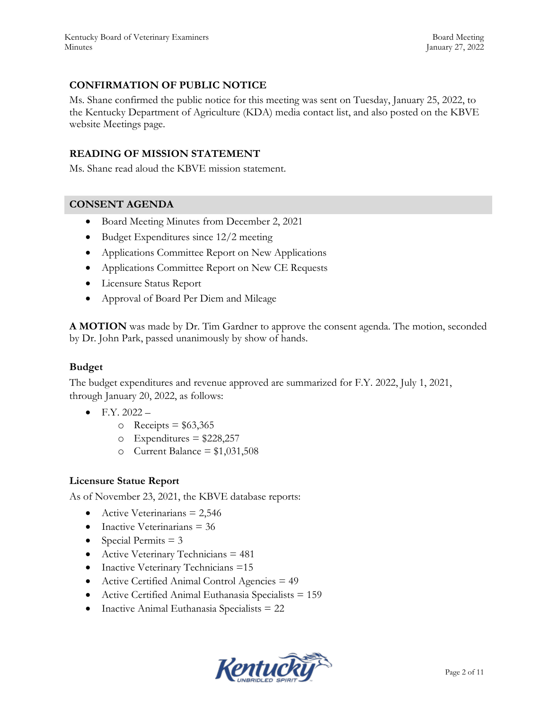## **CONFIRMATION OF PUBLIC NOTICE**

Ms. Shane confirmed the public notice for this meeting was sent on Tuesday, January 25, 2022, to the Kentucky Department of Agriculture (KDA) media contact list, and also posted on the KBVE website Meetings page.

### **READING OF MISSION STATEMENT**

Ms. Shane read aloud the KBVE mission statement.

#### **CONSENT AGENDA**

- Board Meeting Minutes from December 2, 2021
- Budget Expenditures since 12/2 meeting
- Applications Committee Report on New Applications
- Applications Committee Report on New CE Requests
- Licensure Status Report
- Approval of Board Per Diem and Mileage

**A MOTION** was made by Dr. Tim Gardner to approve the consent agenda. The motion, seconded by Dr. John Park, passed unanimously by show of hands.

#### **Budget**

The budget expenditures and revenue approved are summarized for F.Y. 2022, July 1, 2021, through January 20, 2022, as follows:

- $\bullet$  F.Y. 2022
	- $\circ$  Receipts = \$63,365
	- $\circ$  Expenditures = \$228,257
	- o Current Balance =  $$1,031,508$

#### **Licensure Statue Report**

As of November 23, 2021, the KBVE database reports:

- Active Veterinarians  $= 2,546$
- $\bullet$  Inactive Veterinarians = 36
- Special Permits  $= 3$
- Active Veterinary Technicians  $= 481$
- Inactive Veterinary Technicians =15
- Active Certified Animal Control Agencies = 49
- Active Certified Animal Euthanasia Specialists = 159
- Inactive Animal Euthanasia Specialists = 22

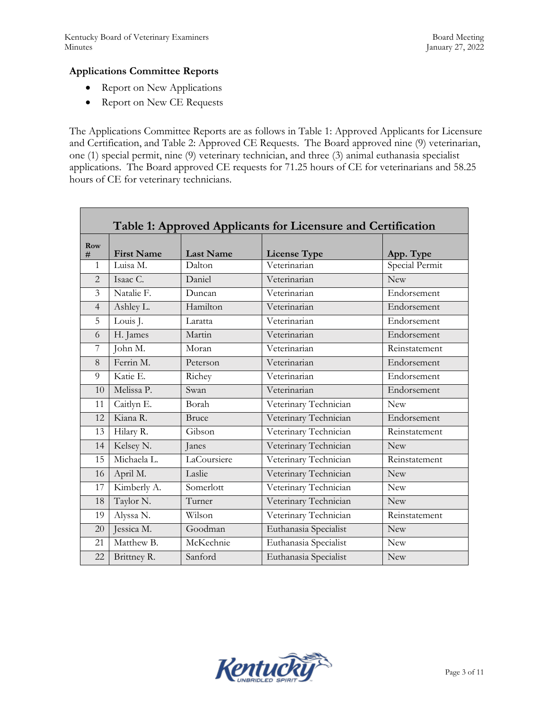Г

## **Applications Committee Reports**

- Report on New Applications
- Report on New CE Requests

The Applications Committee Reports are as follows in Table 1: Approved Applicants for Licensure and Certification, and Table 2: Approved CE Requests. The Board approved nine (9) veterinarian, one (1) special permit, nine (9) veterinary technician, and three (3) animal euthanasia specialist applications. The Board approved CE requests for 71.25 hours of CE for veterinarians and 58.25 hours of CE for veterinary technicians.

| Table 1: Approved Applicants for Licensure and Certification |                   |                  |                       |                |  |  |  |
|--------------------------------------------------------------|-------------------|------------------|-----------------------|----------------|--|--|--|
| Row<br>#                                                     | <b>First Name</b> | <b>Last Name</b> | <b>License Type</b>   | App. Type      |  |  |  |
| $\mathbf{1}$                                                 | Luisa M.          | Dalton           | Veterinarian          | Special Permit |  |  |  |
| $\mathfrak{D}$                                               | Isaac C.          | Daniel           | Veterinarian          | <b>New</b>     |  |  |  |
| $\overline{3}$                                               | Natalie F.        | Duncan           | Veterinarian          | Endorsement    |  |  |  |
| $\overline{4}$                                               | Ashley L.         | Hamilton         | Veterinarian          | Endorsement    |  |  |  |
| 5                                                            | Louis J.          | Laratta          | Veterinarian          | Endorsement    |  |  |  |
| 6                                                            | H. James          | Martin           | Veterinarian          | Endorsement    |  |  |  |
| 7                                                            | John M.           | Moran            | Veterinarian          | Reinstatement  |  |  |  |
| 8                                                            | Ferrin M.         | Peterson         | Veterinarian          | Endorsement    |  |  |  |
| 9                                                            | Katie E.          | Richey           | Veterinarian          | Endorsement    |  |  |  |
| 10                                                           | Melissa P.        | Swan             | Veterinarian          | Endorsement    |  |  |  |
| 11                                                           | Caitlyn E.        | Borah            | Veterinary Technician | <b>New</b>     |  |  |  |
| 12.                                                          | Kiana R.          | Bruce            | Veterinary Technician | Endorsement    |  |  |  |
| 13                                                           | Hilary R.         | Gibson           | Veterinary Technician | Reinstatement  |  |  |  |
| 14                                                           | Kelsey N.         | Janes            | Veterinary Technician | New            |  |  |  |
| 15                                                           | Michaela L.       | LaCoursiere      | Veterinary Technician | Reinstatement  |  |  |  |
| 16                                                           | April M.          | Laslie           | Veterinary Technician | <b>New</b>     |  |  |  |
| 17                                                           | Kimberly A.       | Somerlott        | Veterinary Technician | <b>New</b>     |  |  |  |
| 18                                                           | Taylor N.         | Turner           | Veterinary Technician | <b>New</b>     |  |  |  |
| 19                                                           | Alyssa N.         | Wilson           | Veterinary Technician | Reinstatement  |  |  |  |
| 20                                                           | Jessica M.        | Goodman          | Euthanasia Specialist | <b>New</b>     |  |  |  |
| 21                                                           | Matthew B.        | McKechnie        | Euthanasia Specialist | <b>New</b>     |  |  |  |
| 22                                                           | Brittney R.       | Sanford          | Euthanasia Specialist | <b>New</b>     |  |  |  |

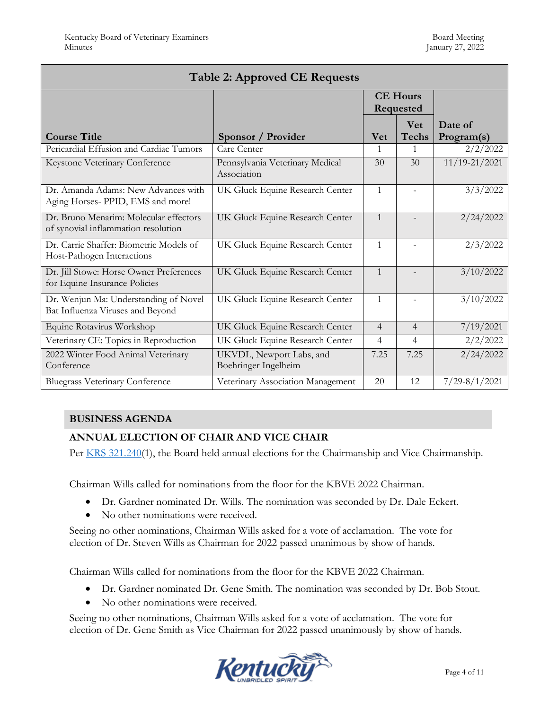| <b>Table 2: Approved CE Requests</b>                                          |                                                  |                              |                            |                       |  |  |  |
|-------------------------------------------------------------------------------|--------------------------------------------------|------------------------------|----------------------------|-----------------------|--|--|--|
|                                                                               |                                                  | <b>CE Hours</b><br>Requested |                            |                       |  |  |  |
| <b>Course Title</b>                                                           | Sponsor / Provider                               | <b>Vet</b>                   | <b>Vet</b><br><b>Techs</b> | Date of<br>Program(s) |  |  |  |
| Pericardial Effusion and Cardiac Tumors                                       | Care Center                                      | 1                            | $\mathbf{1}$               | 2/2/2022              |  |  |  |
| Keystone Veterinary Conference                                                | Pennsylvania Veterinary Medical<br>Association   | 30                           | 30                         | 11/19-21/2021         |  |  |  |
| Dr. Amanda Adams: New Advances with<br>Aging Horses- PPID, EMS and more!      | UK Gluck Equine Research Center                  | $\mathbf{1}$                 |                            | 3/3/2022              |  |  |  |
| Dr. Bruno Menarim: Molecular effectors<br>of synovial inflammation resolution | UK Gluck Equine Research Center                  | $\mathbf{1}$                 |                            | 2/24/2022             |  |  |  |
| Dr. Carrie Shaffer: Biometric Models of<br>Host-Pathogen Interactions         | UK Gluck Equine Research Center                  | $\mathbf{1}$                 |                            | 2/3/2022              |  |  |  |
| Dr. Jill Stowe: Horse Owner Preferences<br>for Equine Insurance Policies      | UK Gluck Equine Research Center                  | $\mathbf{1}$                 |                            | 3/10/2022             |  |  |  |
| Dr. Wenjun Ma: Understanding of Novel<br>Bat Influenza Viruses and Beyond     | UK Gluck Equine Research Center                  | $\mathbf{1}$                 |                            | 3/10/2022             |  |  |  |
| Equine Rotavirus Workshop                                                     | UK Gluck Equine Research Center                  | $\overline{4}$               | $\overline{4}$             | 7/19/2021             |  |  |  |
| Veterinary CE: Topics in Reproduction                                         | UK Gluck Equine Research Center                  | 4                            | $\overline{4}$             | 2/2/2022              |  |  |  |
| 2022 Winter Food Animal Veterinary<br>Conference                              | UKVDL, Newport Labs, and<br>Boehringer Ingelheim | 7.25                         | 7.25                       | 2/24/2022             |  |  |  |
| <b>Bluegrass Veterinary Conference</b>                                        | Veterinary Association Management                | 20                           | 12                         | $7/29 - 8/1/2021$     |  |  |  |

# **BUSINESS AGENDA**

# **ANNUAL ELECTION OF CHAIR AND VICE CHAIR**

Per **KRS** 321.240(1), the Board held annual elections for the Chairmanship and Vice Chairmanship.

Chairman Wills called for nominations from the floor for the KBVE 2022 Chairman.

- Dr. Gardner nominated Dr. Wills. The nomination was seconded by Dr. Dale Eckert.
- No other nominations were received.

Seeing no other nominations, Chairman Wills asked for a vote of acclamation. The vote for election of Dr. Steven Wills as Chairman for 2022 passed unanimous by show of hands.

Chairman Wills called for nominations from the floor for the KBVE 2022 Chairman.

- Dr. Gardner nominated Dr. Gene Smith. The nomination was seconded by Dr. Bob Stout.
- No other nominations were received.

Seeing no other nominations, Chairman Wills asked for a vote of acclamation. The vote for election of Dr. Gene Smith as Vice Chairman for 2022 passed unanimously by show of hands.

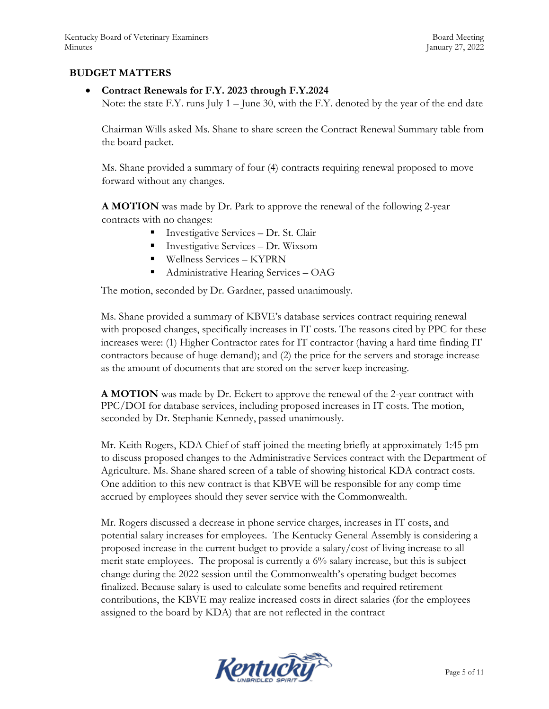### **BUDGET MATTERS**

### **Contract Renewals for F.Y. 2023 through F.Y.2024**

Note: the state F.Y. runs July 1 – June 30, with the F.Y. denoted by the year of the end date

Chairman Wills asked Ms. Shane to share screen the Contract Renewal Summary table from the board packet.

Ms. Shane provided a summary of four (4) contracts requiring renewal proposed to move forward without any changes.

**A MOTION** was made by Dr. Park to approve the renewal of the following 2-year contracts with no changes:

- Investigative Services Dr. St. Clair
- Investigative Services Dr. Wixsom
- Wellness Services KYPRN
- Administrative Hearing Services OAG

The motion, seconded by Dr. Gardner, passed unanimously.

Ms. Shane provided a summary of KBVE's database services contract requiring renewal with proposed changes, specifically increases in IT costs. The reasons cited by PPC for these increases were: (1) Higher Contractor rates for IT contractor (having a hard time finding IT contractors because of huge demand); and (2) the price for the servers and storage increase as the amount of documents that are stored on the server keep increasing.

**A MOTION** was made by Dr. Eckert to approve the renewal of the 2-year contract with PPC/DOI for database services, including proposed increases in IT costs. The motion, seconded by Dr. Stephanie Kennedy, passed unanimously.

Mr. Keith Rogers, KDA Chief of staff joined the meeting briefly at approximately 1:45 pm to discuss proposed changes to the Administrative Services contract with the Department of Agriculture. Ms. Shane shared screen of a table of showing historical KDA contract costs. One addition to this new contract is that KBVE will be responsible for any comp time accrued by employees should they sever service with the Commonwealth.

Mr. Rogers discussed a decrease in phone service charges, increases in IT costs, and potential salary increases for employees. The Kentucky General Assembly is considering a proposed increase in the current budget to provide a salary/cost of living increase to all merit state employees. The proposal is currently a 6% salary increase, but this is subject change during the 2022 session until the Commonwealth's operating budget becomes finalized. Because salary is used to calculate some benefits and required retirement contributions, the KBVE may realize increased costs in direct salaries (for the employees assigned to the board by KDA) that are not reflected in the contract

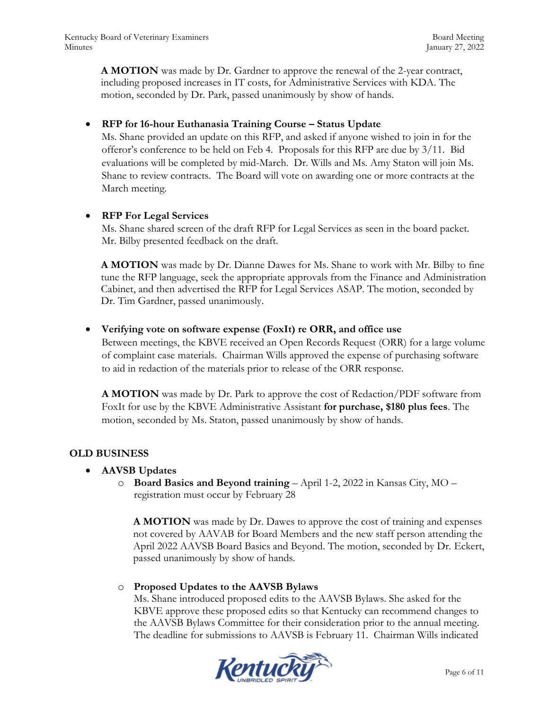**A MOTION** was made by Dr. Gardner to approve the renewal of the 2-year contract, including proposed increases in IT costs, for Administrative Services with KDA. The motion, seconded by Dr. Park, passed unanimously by show of hands.

## **RFP for 16-hour Euthanasia Training Course – Status Update**

Ms. Shane provided an update on this RFP, and asked if anyone wished to join in for the offeror's conference to be held on Feb 4. Proposals for this RFP are due by 3/11. Bid evaluations will be completed by mid-March. Dr. Wills and Ms. Amy Staton will join Ms. Shane to review contracts. The Board will vote on awarding one or more contracts at the March meeting.

## **RFP For Legal Services**

Ms. Shane shared screen of the draft RFP for Legal Services as seen in the board packet. Mr. Bilby presented feedback on the draft.

**A MOTION** was made by Dr. Dianne Dawes for Ms. Shane to work with Mr. Bilby to fine tune the RFP language, seek the appropriate approvals from the Finance and Administration Cabinet, and then advertised the RFP for Legal Services ASAP. The motion, seconded by Dr. Tim Gardner, passed unanimously.

## **Verifying vote on software expense (FoxIt) re ORR, and office use**

Between meetings, the KBVE received an Open Records Request (ORR) for a large volume of complaint case materials. Chairman Wills approved the expense of purchasing software to aid in redaction of the materials prior to release of the ORR response.

**A MOTION** was made by Dr. Park to approve the cost of Redaction/PDF software from FoxIt for use by the KBVE Administrative Assistant **for purchase, \$180 plus fees**. The motion, seconded by Ms. Staton, passed unanimously by show of hands.

# **OLD BUSINESS**

## **AAVSB Updates**

o **Board Basics and Beyond training** – April 1-2, 2022 in Kansas City, MO – registration must occur by February 28

**A MOTION** was made by Dr. Dawes to approve the cost of training and expenses not covered by AAVAB for Board Members and the new staff person attending the April 2022 AAVSB Board Basics and Beyond. The motion, seconded by Dr. Eckert, passed unanimously by show of hands.

## o **Proposed Updates to the AAVSB Bylaws**

Ms. Shane introduced proposed edits to the AAVSB Bylaws. She asked for the KBVE approve these proposed edits so that Kentucky can recommend changes to the AAVSB Bylaws Committee for their consideration prior to the annual meeting. The deadline for submissions to AAVSB is February 11. Chairman Wills indicated

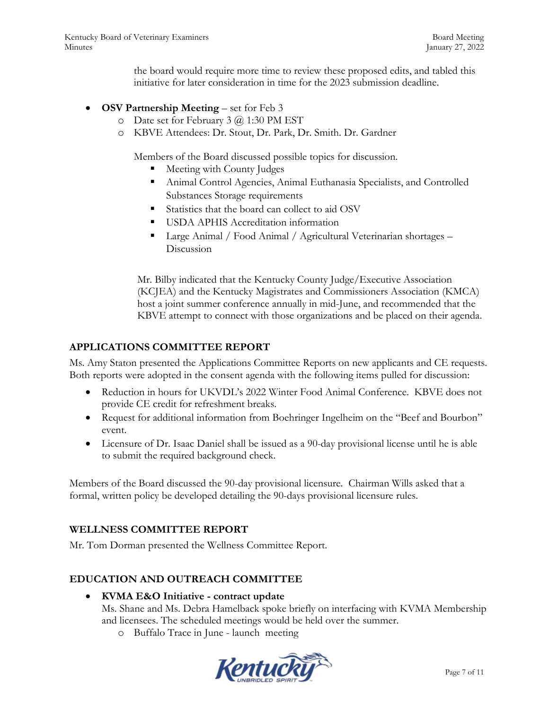the board would require more time to review these proposed edits, and tabled this initiative for later consideration in time for the 2023 submission deadline.

- **OSV Partnership Meeting** set for Feb 3
	- o Date set for February 3 @ 1:30 PM EST
	- o KBVE Attendees: Dr. Stout, Dr. Park, Dr. Smith. Dr. Gardner

Members of the Board discussed possible topics for discussion.

- Meeting with County Judges
- Animal Control Agencies, Animal Euthanasia Specialists, and Controlled Substances Storage requirements
- Statistics that the board can collect to aid OSV
- **USDA APHIS Accreditation information**
- Large Animal / Food Animal / Agricultural Veterinarian shortages Discussion

Mr. Bilby indicated that the Kentucky County Judge/Executive Association (KCJEA) and the Kentucky Magistrates and Commissioners Association (KMCA) host a joint summer conference annually in mid-June, and recommended that the KBVE attempt to connect with those organizations and be placed on their agenda.

## **APPLICATIONS COMMITTEE REPORT**

Ms. Amy Staton presented the Applications Committee Reports on new applicants and CE requests. Both reports were adopted in the consent agenda with the following items pulled for discussion:

- Reduction in hours for UKVDL's 2022 Winter Food Animal Conference. KBVE does not provide CE credit for refreshment breaks.
- Request for additional information from Boehringer Ingelheim on the "Beef and Bourbon" event.
- Licensure of Dr. Isaac Daniel shall be issued as a 90-day provisional license until he is able to submit the required background check.

Members of the Board discussed the 90-day provisional licensure. Chairman Wills asked that a formal, written policy be developed detailing the 90-days provisional licensure rules.

## **WELLNESS COMMITTEE REPORT**

Mr. Tom Dorman presented the Wellness Committee Report.

# **EDUCATION AND OUTREACH COMMITTEE**

**KVMA E&O Initiative - contract update**

Ms. Shane and Ms. Debra Hamelback spoke briefly on interfacing with KVMA Membership and licensees. The scheduled meetings would be held over the summer.

o Buffalo Trace in June - launch meeting

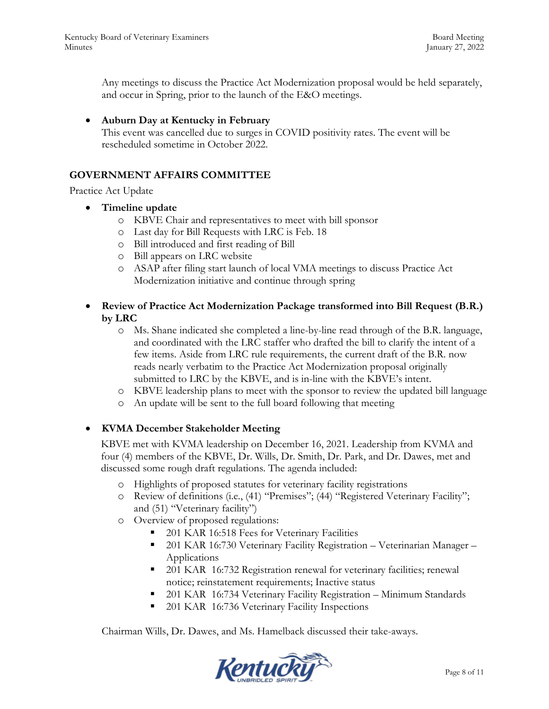Any meetings to discuss the Practice Act Modernization proposal would be held separately, and occur in Spring, prior to the launch of the E&O meetings.

**Auburn Day at Kentucky in February**

This event was cancelled due to surges in COVID positivity rates. The event will be rescheduled sometime in October 2022.

## **GOVERNMENT AFFAIRS COMMITTEE**

Practice Act Update

- **Timeline update**
	- o KBVE Chair and representatives to meet with bill sponsor
	- o Last day for Bill Requests with LRC is Feb. 18
	- o Bill introduced and first reading of Bill
	- o Bill appears on LRC website
	- o ASAP after filing start launch of local VMA meetings to discuss Practice Act Modernization initiative and continue through spring
- **Review of Practice Act Modernization Package transformed into Bill Request (B.R.) by LRC**
	- o Ms. Shane indicated she completed a line-by-line read through of the B.R. language, and coordinated with the LRC staffer who drafted the bill to clarify the intent of a few items. Aside from LRC rule requirements, the current draft of the B.R. now reads nearly verbatim to the Practice Act Modernization proposal originally submitted to LRC by the KBVE, and is in-line with the KBVE's intent.
	- o KBVE leadership plans to meet with the sponsor to review the updated bill language
	- o An update will be sent to the full board following that meeting

## **KVMA December Stakeholder Meeting**

KBVE met with KVMA leadership on December 16, 2021. Leadership from KVMA and four (4) members of the KBVE, Dr. Wills, Dr. Smith, Dr. Park, and Dr. Dawes, met and discussed some rough draft regulations. The agenda included:

- o Highlights of proposed statutes for veterinary facility registrations
- o Review of definitions (i.e., (41) "Premises"; (44) "Registered Veterinary Facility"; and (51) "Veterinary facility")
- o Overview of proposed regulations:
	- 201 KAR 16:518 Fees for Veterinary Facilities
	- 201 KAR 16:730 Veterinary Facility Registration Veterinarian Manager Applications
	- 201 KAR 16:732 Registration renewal for veterinary facilities; renewal notice; reinstatement requirements; Inactive status
	- 201 KAR 16:734 Veterinary Facility Registration Minimum Standards
	- 201 KAR 16:736 Veterinary Facility Inspections

Chairman Wills, Dr. Dawes, and Ms. Hamelback discussed their take-aways.

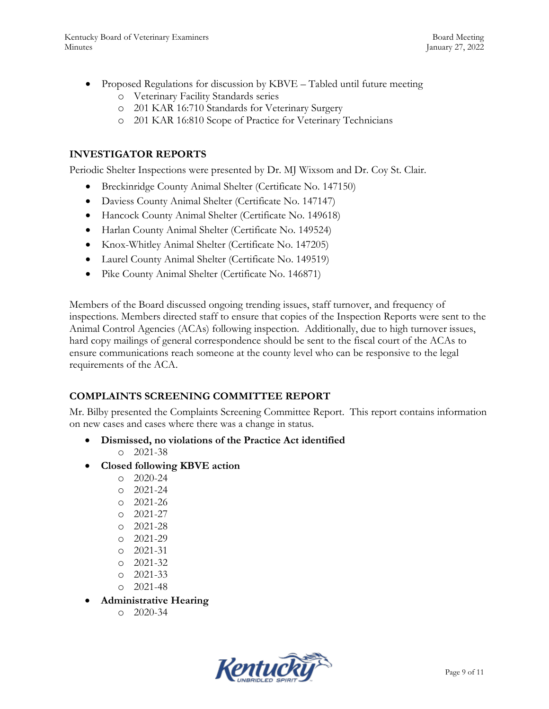- Proposed Regulations for discussion by KBVE Tabled until future meeting
	- o Veterinary Facility Standards series
	- o 201 KAR 16:710 Standards for Veterinary Surgery
	- o 201 KAR 16:810 Scope of Practice for Veterinary Technicians

# **INVESTIGATOR REPORTS**

Periodic Shelter Inspections were presented by Dr. MJ Wixsom and Dr. Coy St. Clair.

- Breckinridge County Animal Shelter (Certificate No. 147150)
- Daviess County Animal Shelter (Certificate No. 147147)
- Hancock County Animal Shelter (Certificate No. 149618)
- Harlan County Animal Shelter (Certificate No. 149524)
- Knox-Whitley Animal Shelter (Certificate No. 147205)
- Laurel County Animal Shelter (Certificate No. 149519)
- Pike County Animal Shelter (Certificate No. 146871)

Members of the Board discussed ongoing trending issues, staff turnover, and frequency of inspections. Members directed staff to ensure that copies of the Inspection Reports were sent to the Animal Control Agencies (ACAs) following inspection. Additionally, due to high turnover issues, hard copy mailings of general correspondence should be sent to the fiscal court of the ACAs to ensure communications reach someone at the county level who can be responsive to the legal requirements of the ACA.

# **COMPLAINTS SCREENING COMMITTEE REPORT**

Mr. Bilby presented the Complaints Screening Committee Report. This report contains information on new cases and cases where there was a change in status.

- **Dismissed, no violations of the Practice Act identified** o 2021-38
- **Closed following KBVE action**
	- o 2020-24
	- o 2021-24
	- o 2021-26
	- o 2021-27
	- o 2021-28
	- o 2021-29
	- o 2021-31
	- o 2021-32
	- o 2021-33
	- o 2021-48
- **Administrative Hearing** 
	- $O$  2020-34

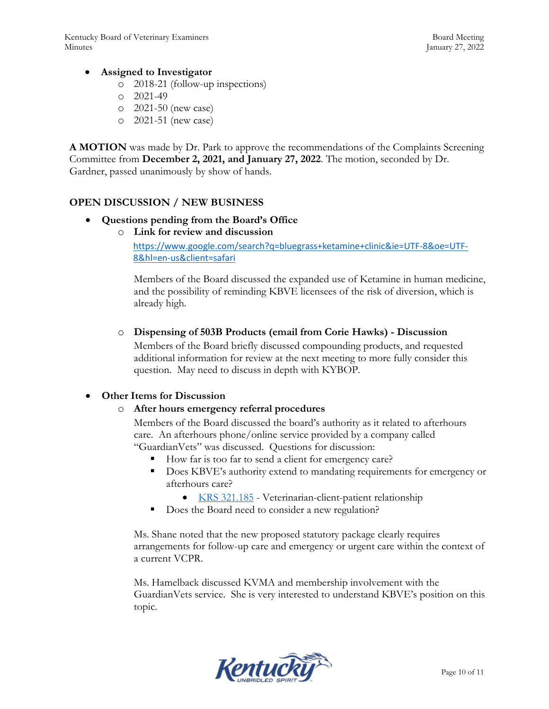## **Assigned to Investigator**

- o 2018-21 (follow-up inspections)
- o 2021-49
- o 2021-50 (new case)
- o 2021-51 (new case)

**A MOTION** was made by Dr. Park to approve the recommendations of the Complaints Screening Committee from **December 2, 2021, and January 27, 2022**. The motion, seconded by Dr. Gardner, passed unanimously by show of hands.

## **OPEN DISCUSSION / NEW BUSINESS**

## **Questions pending from the Board's Office**

o **Link for review and discussion**

[https://www.google.com/search?q=bluegrass+ketamine+clinic&ie=UTF-8&oe=UTF-](https://www.google.com/search?q=bluegrass+ketamine+clinic&ie=UTF-8&oe=UTF-8&hl=en-us&client=safari)[8&hl=en-us&client=safari](https://www.google.com/search?q=bluegrass+ketamine+clinic&ie=UTF-8&oe=UTF-8&hl=en-us&client=safari)

Members of the Board discussed the expanded use of Ketamine in human medicine, and the possibility of reminding KBVE licensees of the risk of diversion, which is already high.

o **Dispensing of 503B Products (email from Corie Hawks) - Discussion**

Members of the Board briefly discussed compounding products, and requested additional information for review at the next meeting to more fully consider this question. May need to discuss in depth with KYBOP.

## **Other Items for Discussion**

#### o **After hours emergency referral procedures**

Members of the Board discussed the board's authority as it related to afterhours care. An afterhours phone/online service provided by a company called "GuardianVets" was discussed. Questions for discussion:

- How far is too far to send a client for emergency care?
- Does KBVE's authority extend to mandating requirements for emergency or afterhours care?
	- [KRS 321.185](https://apps.legislature.ky.gov/law/statutes/statute.aspx?id=50450) Veterinarian-client-patient relationship
- Does the Board need to consider a new regulation?

Ms. Shane noted that the new proposed statutory package clearly requires arrangements for follow-up care and emergency or urgent care within the context of a current VCPR.

Ms. Hamelback discussed KVMA and membership involvement with the GuardianVets service. She is very interested to understand KBVE's position on this topic.

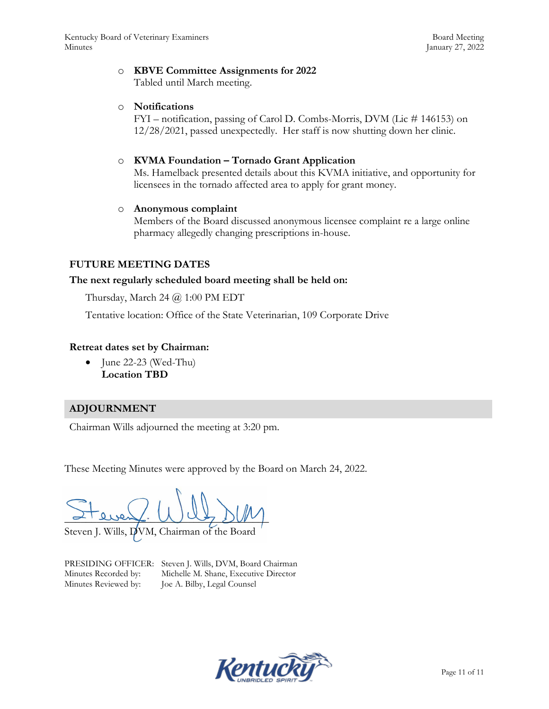#### o **KBVE Committee Assignments for 2022**

Tabled until March meeting.

#### o **Notifications**

FYI – notification, passing of Carol D. Combs-Morris, DVM (Lic # 146153) on 12/28/2021, passed unexpectedly. Her staff is now shutting down her clinic.

### o **KVMA Foundation – Tornado Grant Application**

Ms. Hamelback presented details about this KVMA initiative, and opportunity for licensees in the tornado affected area to apply for grant money.

#### o **Anonymous complaint**

Members of the Board discussed anonymous licensee complaint re a large online pharmacy allegedly changing prescriptions in-house.

## **FUTURE MEETING DATES**

#### **The next regularly scheduled board meeting shall be held on:**

Thursday, March 24 @ 1:00 PM EDT

Tentative location: Office of the State Veterinarian, 109 Corporate Drive

#### **Retreat dates set by Chairman:**

 $\bullet$  June 22-23 (Wed-Thu) **Location TBD**

## **ADJOURNMENT**

Chairman Wills adjourned the meeting at 3:20 pm.

These Meeting Minutes were approved by the Board on March 24, 2022.

 $\sim$  Lues ( $\cup$  UC  $\sim$   $\sim$ 

Steven J. Wills, DVM, Chairman of the Board

PRESIDING OFFICER: Steven J. Wills, DVM, Board Chairman Minutes Recorded by: Michelle M. Shane, Executive Director Minutes Reviewed by: Joe A. Bilby, Legal Counsel

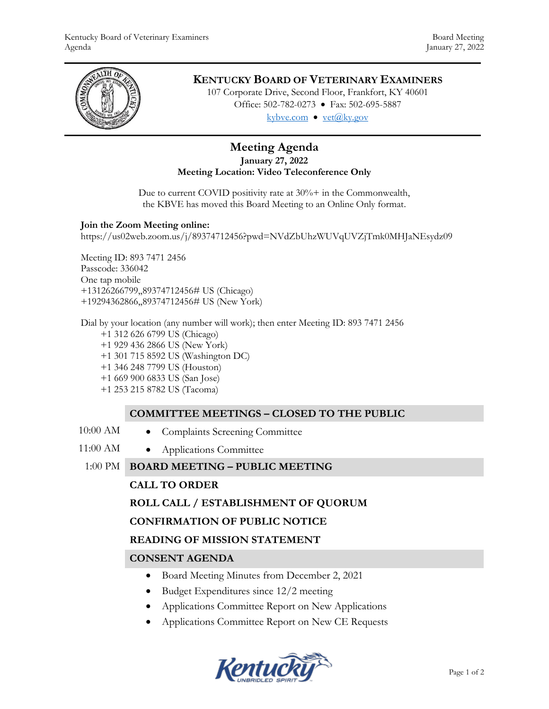

# **KENTUCKY BOARD OF VETERINARY EXAMINERS**

107 Corporate Drive, Second Floor, Frankfort, KY 40601 Office: 502-782-0273 • Fax: 502-695-5887 kybve.com  $\bullet$  yet $(\partial_k ky.gov)$ 

## **Meeting Agenda January 27, 2022 Meeting Location: Video Teleconference Only**

Due to current COVID positivity rate at  $30\%$  + in the Commonwealth, the KBVE has moved this Board Meeting to an Online Only format.

#### **Join the Zoom Meeting online:**

https://us02web.zoom.us/j/89374712456?pwd=NVdZbUhzWUVqUVZjTmk0MHJaNEsydz09

Meeting ID: 893 7471 2456 Passcode: 336042 One tap mobile +13126266799,,89374712456# US (Chicago) +19294362866,,89374712456# US (New York)

Dial by your location (any number will work); then enter Meeting ID: 893 7471 2456

- +1 312 626 6799 US (Chicago)
- +1 929 436 2866 US (New York)
- +1 301 715 8592 US (Washington DC)
- +1 346 248 7799 US (Houston)
- +1 669 900 6833 US (San Jose)
- +1 253 215 8782 US (Tacoma)

## **COMMITTEE MEETINGS – CLOSED TO THE PUBLIC**

- 
- 10:00 AM Complaints Screening Committee
- 11:00 AM Applications Committee
- 1:00 PM **BOARD MEETING – PUBLIC MEETING**

# **CALL TO ORDER**

## **ROLL CALL / ESTABLISHMENT OF QUORUM**

## **CONFIRMATION OF PUBLIC NOTICE**

## **READING OF MISSION STATEMENT**

## **CONSENT AGENDA**

- Board Meeting Minutes from December 2, 2021
- Budget Expenditures since 12/2 meeting
- Applications Committee Report on New Applications
- Applications Committee Report on New CE Requests